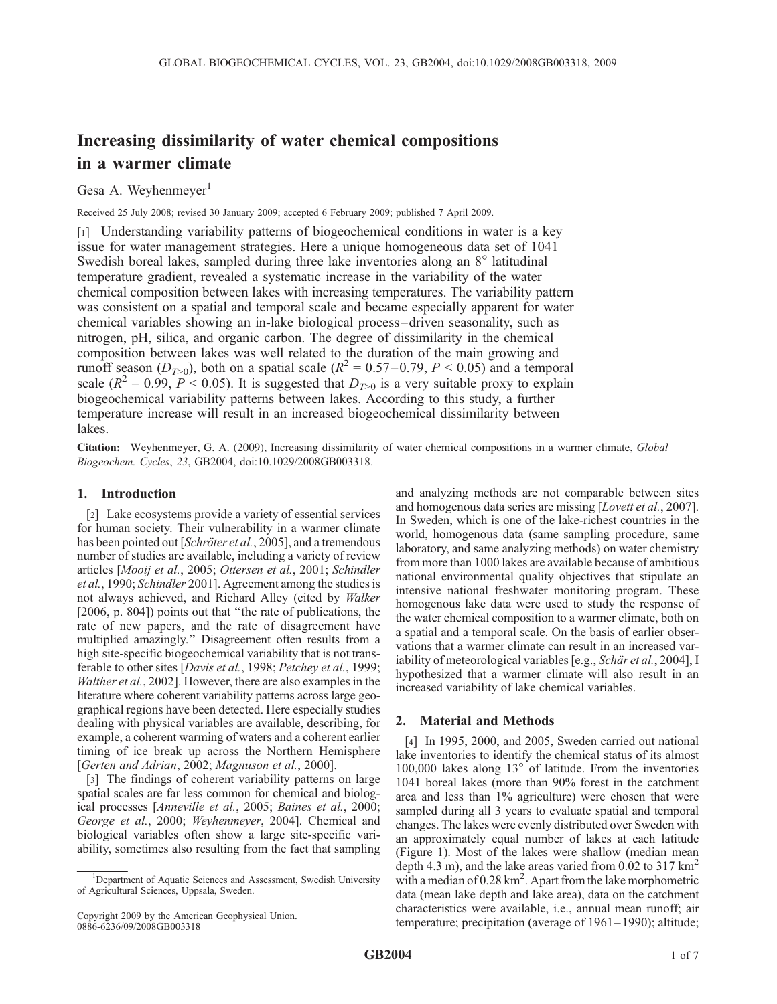# Increasing dissimilarity of water chemical compositions in a warmer climate

# Gesa A. Weyhenmeyer $<sup>1</sup>$ </sup>

Received 25 July 2008; revised 30 January 2009; accepted 6 February 2009; published 7 April 2009.

[1] Understanding variability patterns of biogeochemical conditions in water is a key issue for water management strategies. Here a unique homogeneous data set of 1041 Swedish boreal lakes, sampled during three lake inventories along an  $8^\circ$  latitudinal temperature gradient, revealed a systematic increase in the variability of the water chemical composition between lakes with increasing temperatures. The variability pattern was consistent on a spatial and temporal scale and became especially apparent for water chemical variables showing an in-lake biological process–driven seasonality, such as nitrogen, pH, silica, and organic carbon. The degree of dissimilarity in the chemical composition between lakes was well related to the duration of the main growing and runoff season ( $D_{T>0}$ ), both on a spatial scale ( $R^2 = 0.57-0.79$ ,  $P < 0.05$ ) and a temporal scale ( $R^2 = 0.99$ ,  $P < 0.05$ ). It is suggested that  $D_{T>0}$  is a very suitable proxy to explain biogeochemical variability patterns between lakes. According to this study, a further temperature increase will result in an increased biogeochemical dissimilarity between lakes.

Citation: Weyhenmeyer, G. A. (2009), Increasing dissimilarity of water chemical compositions in a warmer climate, Global Biogeochem. Cycles, 23, GB2004, doi:10.1029/2008GB003318.

# 1. Introduction

[2] Lake ecosystems provide a variety of essential services for human society. Their vulnerability in a warmer climate has been pointed out [Schröter et al., 2005], and a tremendous number of studies are available, including a variety of review articles [Mooij et al., 2005; Ottersen et al., 2001; Schindler et al., 1990; Schindler 2001]. Agreement among the studies is not always achieved, and Richard Alley (cited by Walker [2006, p. 804]) points out that ''the rate of publications, the rate of new papers, and the rate of disagreement have multiplied amazingly.'' Disagreement often results from a high site-specific biogeochemical variability that is not transferable to other sites [Davis et al., 1998; Petchey et al., 1999; Walther et al., 2002]. However, there are also examples in the literature where coherent variability patterns across large geographical regions have been detected. Here especially studies dealing with physical variables are available, describing, for example, a coherent warming of waters and a coherent earlier timing of ice break up across the Northern Hemisphere [Gerten and Adrian, 2002; Magnuson et al., 2000].

[3] The findings of coherent variability patterns on large spatial scales are far less common for chemical and biological processes [Anneville et al., 2005; Baines et al., 2000; George et al., 2000; Weyhenmeyer, 2004]. Chemical and biological variables often show a large site-specific variability, sometimes also resulting from the fact that sampling

and analyzing methods are not comparable between sites and homogenous data series are missing [*Lovett et al.*, 2007]. In Sweden, which is one of the lake-richest countries in the world, homogenous data (same sampling procedure, same laboratory, and same analyzing methods) on water chemistry from more than 1000 lakes are available because of ambitious national environmental quality objectives that stipulate an intensive national freshwater monitoring program. These homogenous lake data were used to study the response of the water chemical composition to a warmer climate, both on a spatial and a temporal scale. On the basis of earlier observations that a warmer climate can result in an increased variability of meteorological variables [e.g., Schär et al., 2004], I hypothesized that a warmer climate will also result in an increased variability of lake chemical variables.

## 2. Material and Methods

[4] In 1995, 2000, and 2005, Sweden carried out national lake inventories to identify the chemical status of its almost 100,000 lakes along  $13^{\circ}$  of latitude. From the inventories 1041 boreal lakes (more than 90% forest in the catchment area and less than 1% agriculture) were chosen that were sampled during all 3 years to evaluate spatial and temporal changes. The lakes were evenly distributed over Sweden with an approximately equal number of lakes at each latitude (Figure 1). Most of the lakes were shallow (median mean depth 4.3 m), and the lake areas varied from 0.02 to 317  $\text{km}^2$ with a median of  $0.28 \text{ km}^2$ . Apart from the lake morphometric data (mean lake depth and lake area), data on the catchment characteristics were available, i.e., annual mean runoff; air temperature; precipitation (average of 1961– 1990); altitude;

<sup>&</sup>lt;sup>1</sup>Department of Aquatic Sciences and Assessment, Swedish University of Agricultural Sciences, Uppsala, Sweden.

Copyright 2009 by the American Geophysical Union. 0886-6236/09/2008GB003318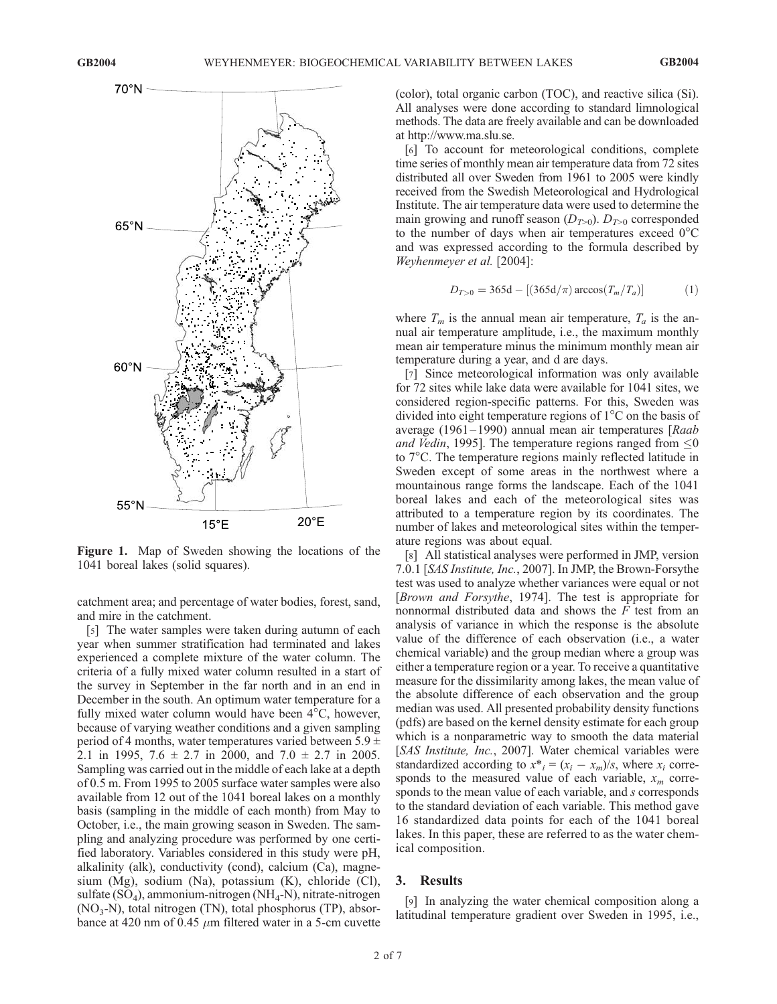

Figure 1. Map of Sweden showing the locations of the 1041 boreal lakes (solid squares).

catchment area; and percentage of water bodies, forest, sand, and mire in the catchment.

[5] The water samples were taken during autumn of each year when summer stratification had terminated and lakes experienced a complete mixture of the water column. The criteria of a fully mixed water column resulted in a start of the survey in September in the far north and in an end in December in the south. An optimum water temperature for a fully mixed water column would have been  $4^{\circ}$ C, however, because of varying weather conditions and a given sampling period of 4 months, water temperatures varied between  $5.9 \pm$ 2.1 in 1995,  $7.6 \pm 2.7$  in 2000, and  $7.0 \pm 2.7$  in 2005. Sampling was carried out in the middle of each lake at a depth of 0.5 m. From 1995 to 2005 surface water samples were also available from 12 out of the 1041 boreal lakes on a monthly basis (sampling in the middle of each month) from May to October, i.e., the main growing season in Sweden. The sampling and analyzing procedure was performed by one certified laboratory. Variables considered in this study were pH, alkalinity (alk), conductivity (cond), calcium (Ca), magnesium (Mg), sodium (Na), potassium (K), chloride (Cl), sulfate  $(SO_4)$ , ammonium-nitrogen  $(NH_4-N)$ , nitrate-nitrogen  $(NO<sub>3</sub>-N)$ , total nitrogen  $(TN)$ , total phosphorus  $(TP)$ , absorbance at 420 nm of 0.45  $\mu$ m filtered water in a 5-cm cuvette

(color), total organic carbon (TOC), and reactive silica (Si). All analyses were done according to standard limnological methods. The data are freely available and can be downloaded at http://www.ma.slu.se.

[6] To account for meteorological conditions, complete time series of monthly mean air temperature data from 72 sites distributed all over Sweden from 1961 to 2005 were kindly received from the Swedish Meteorological and Hydrological Institute. The air temperature data were used to determine the main growing and runoff season  $(D_{T>0})$ .  $D_{T>0}$  corresponded to the number of days when air temperatures exceed  $0^{\circ}$ C and was expressed according to the formula described by Weyhenmeyer et al. [2004]:

$$
D_{T>0} = 365d - [(365d/\pi) \arccos(T_m/T_a)] \tag{1}
$$

where  $T_m$  is the annual mean air temperature,  $T_a$  is the annual air temperature amplitude, i.e., the maximum monthly mean air temperature minus the minimum monthly mean air temperature during a year, and d are days.

[7] Since meteorological information was only available for 72 sites while lake data were available for 1041 sites, we considered region-specific patterns. For this, Sweden was divided into eight temperature regions of  $1^{\circ}$ C on the basis of average (1961–1990) annual mean air temperatures [Raab] and Vedin, 1995]. The temperature regions ranged from  $\leq 0$ to  $7^{\circ}$ C. The temperature regions mainly reflected latitude in Sweden except of some areas in the northwest where a mountainous range forms the landscape. Each of the 1041 boreal lakes and each of the meteorological sites was attributed to a temperature region by its coordinates. The number of lakes and meteorological sites within the temperature regions was about equal.

[8] All statistical analyses were performed in JMP, version 7.0.1 [SAS Institute, Inc., 2007]. In JMP, the Brown-Forsythe test was used to analyze whether variances were equal or not [Brown and Forsythe, 1974]. The test is appropriate for nonnormal distributed data and shows the F test from an analysis of variance in which the response is the absolute value of the difference of each observation (i.e., a water chemical variable) and the group median where a group was either a temperature region or a year. To receive a quantitative measure for the dissimilarity among lakes, the mean value of the absolute difference of each observation and the group median was used. All presented probability density functions (pdfs) are based on the kernel density estimate for each group which is a nonparametric way to smooth the data material [SAS Institute, Inc., 2007]. Water chemical variables were standardized according to  $x^*_{i} = (x_i - x_m)/s$ , where  $x_i$  corresponds to the measured value of each variable,  $x_m$  corresponds to the mean value of each variable, and s corresponds to the standard deviation of each variable. This method gave 16 standardized data points for each of the 1041 boreal lakes. In this paper, these are referred to as the water chemical composition.

## 3. Results

[9] In analyzing the water chemical composition along a latitudinal temperature gradient over Sweden in 1995, i.e.,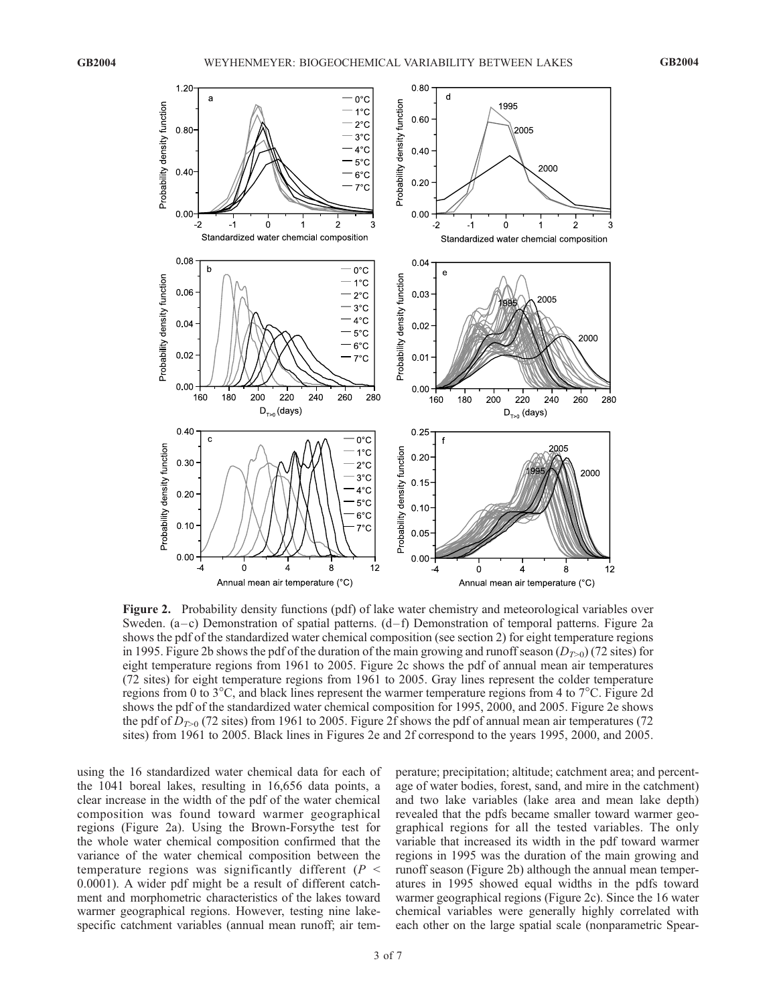

Figure 2. Probability density functions (pdf) of lake water chemistry and meteorological variables over Sweden.  $(a-c)$  Demonstration of spatial patterns.  $(d-f)$  Demonstration of temporal patterns. Figure 2a shows the pdf of the standardized water chemical composition (see section 2) for eight temperature regions in 1995. Figure 2b shows the pdf of the duration of the main growing and runoff season  $(D_{T>0})$  (72 sites) for eight temperature regions from 1961 to 2005. Figure 2c shows the pdf of annual mean air temperatures (72 sites) for eight temperature regions from 1961 to 2005. Gray lines represent the colder temperature regions from 0 to  $3^{\circ}$ C, and black lines represent the warmer temperature regions from 4 to  $7^{\circ}$ C. Figure 2d shows the pdf of the standardized water chemical composition for 1995, 2000, and 2005. Figure 2e shows the pdf of  $D_{T>0}$  (72 sites) from 1961 to 2005. Figure 2f shows the pdf of annual mean air temperatures (72 sites) from 1961 to 2005. Black lines in Figures 2e and 2f correspond to the years 1995, 2000, and 2005.

using the 16 standardized water chemical data for each of the 1041 boreal lakes, resulting in 16,656 data points, a clear increase in the width of the pdf of the water chemical composition was found toward warmer geographical regions (Figure 2a). Using the Brown-Forsythe test for the whole water chemical composition confirmed that the variance of the water chemical composition between the temperature regions was significantly different ( $P \leq$ 0.0001). A wider pdf might be a result of different catchment and morphometric characteristics of the lakes toward warmer geographical regions. However, testing nine lakespecific catchment variables (annual mean runoff; air temperature; precipitation; altitude; catchment area; and percentage of water bodies, forest, sand, and mire in the catchment) and two lake variables (lake area and mean lake depth) revealed that the pdfs became smaller toward warmer geographical regions for all the tested variables. The only variable that increased its width in the pdf toward warmer regions in 1995 was the duration of the main growing and runoff season (Figure 2b) although the annual mean temperatures in 1995 showed equal widths in the pdfs toward warmer geographical regions (Figure 2c). Since the 16 water chemical variables were generally highly correlated with each other on the large spatial scale (nonparametric Spear-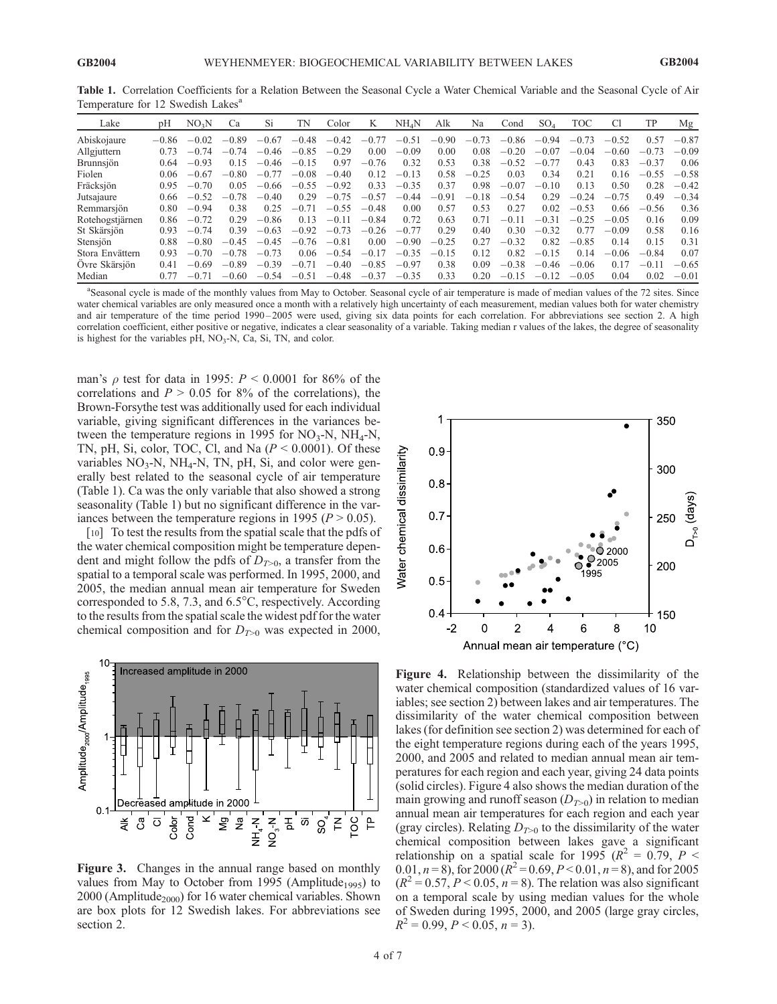| Temperature for 12 BWeensh Lakes |         |                   |         |         |         |         |         |                   |         |         |         |         |            |         |         |         |
|----------------------------------|---------|-------------------|---------|---------|---------|---------|---------|-------------------|---------|---------|---------|---------|------------|---------|---------|---------|
| Lake                             | pH      | NO <sub>3</sub> N | Ca      | Si      | TN      | Color   | K       | NH <sub>4</sub> N | Alk     | Na      | Cond    | $SO_4$  | <b>TOC</b> | C1      | TP      | Mg      |
| Abiskojaure                      | $-0.86$ | $-0.02$           | $-0.89$ | $-0.67$ | $-0.48$ | $-0.42$ | $-0.77$ | $-0.51$           | $-0.90$ | $-0.73$ | $-0.86$ | $-0.94$ | $-0.73$    | $-0.52$ | 0.57    | $-0.87$ |
| Allgjuttern                      | 0.73    | $-0.74$           | $-0.74$ | $-0.46$ | $-0.85$ | $-0.29$ | 0.00    | $-0.09$           | 0.00    | 0.08    | $-0.20$ | $-0.07$ | $-0.04$    | $-0.60$ | $-0.73$ | $-0.09$ |
| <b>Brunnsjön</b>                 | 0.64    | $-0.93$           | 0.15    | $-0.46$ | $-0.15$ | 0.97    | $-0.76$ | 0.32              | 0.53    | 0.38    | $-0.52$ | $-0.77$ | 0.43       | 0.83    | $-0.37$ | 0.06    |
| Fiolen                           | 0.06    | $-0.67$           | $-0.80$ | $-0.77$ | $-0.08$ | $-0.40$ | 0.12    | $-0.13$           | 0.58    | $-0.25$ | 0.03    | 0.34    | 0.21       | 0.16    | $-0.55$ | $-0.58$ |
| Fräcksjön                        | 0.95    | $-0.70$           | 0.05    | $-0.66$ | $-0.55$ | $-0.92$ | 0.33    | $-0.35$           | 0.37    | 0.98    | $-0.07$ | $-0.10$ | 0.13       | 0.50    | 0.28    | $-0.42$ |
| Jutsajaure                       | 0.66    | $-0.52$           | $-0.78$ | $-0.40$ | 0.29    | $-0.75$ | $-0.57$ | $-0.44$           | $-0.91$ | $-0.18$ | $-0.54$ | 0.29    | $-0.24$    | $-0.75$ | 0.49    | $-0.34$ |
| Remmarsjön                       | 0.80    | $-0.94$           | 0.38    | 0.25    | $-0.71$ | $-0.55$ | $-0.48$ | 0.00              | 0.57    | 0.53    | 0.27    | 0.02    | $-0.53$    | 0.66    | $-0.56$ | 0.36    |
| Rotehogstjärnen                  | 0.86    | $-0.72$           | 0.29    | $-0.86$ | 0.13    | $-0.11$ | $-0.84$ | 0.72              | 0.63    | 0.71    | $-0.11$ | $-0.31$ | $-0.25$    | $-0.05$ | 0.16    | 0.09    |
| St Skärsjön                      | 0.93    | $-0.74$           | 0.39    | $-0.63$ | $-0.92$ | $-0.73$ | $-0.26$ | $-0.77$           | 0.29    | 0.40    | 0.30    | $-0.32$ | 0.77       | $-0.09$ | 0.58    | 0.16    |
| Stensjön                         | 0.88    | $-0.80$           | $-0.45$ | $-0.45$ | $-0.76$ | $-0.81$ | 0.00    | $-0.90$           | $-0.25$ | 0.27    | $-0.32$ | 0.82    | $-0.85$    | 0.14    | 0.15    | 0.31    |
| Stora Envättern                  | 0.93    | $-0.70$           | $-0.78$ | $-0.73$ | 0.06    | $-0.54$ | $-0.17$ | $-0.35$           | $-0.15$ | 0.12    | 0.82    | $-0.15$ | 0.14       | $-0.06$ | $-0.84$ | 0.07    |
| Ovre Skärsjön                    | 0.41    | $-0.69$           | $-0.89$ | $-0.39$ | $-0.71$ | $-0.40$ | $-0.85$ | $-0.97$           | 0.38    | 0.09    | $-0.38$ | $-0.46$ | $-0.06$    | 0.17    | $-0.11$ | $-0.65$ |
| Median                           | 0.77    | $-0.71$           | $-0.60$ | $-0.54$ | $-0.51$ | $-0.48$ | $-0.37$ | $-0.35$           | 0.33    | 0.20    | $-0.15$ | $-0.12$ | $-0.05$    | 0.04    | 0.02    | $-0.01$ |

Table 1. Correlation Coefficients for a Relation Between the Seasonal Cycle a Water Chemical Variable and the Seasonal Cycle of Air Temperature for 12 Swedish Lakes<sup>a</sup>

<sup>a</sup>Seasonal cycle is made of the monthly values from May to October. Seasonal cycle of air temperature is made of median values of the 72 sites. Since water chemical variables are only measured once a month with a relatively high uncertainty of each measurement, median values both for water chemistry and air temperature of the time period 1990-2005 were used, giving six data points for each correlation. For abbreviations see section 2. A high correlation coefficient, either positive or negative, indicates a clear seasonality of a variable. Taking median r values of the lakes, the degree of seasonality is highest for the variables  $pH$ ,  $NO<sub>3</sub>-N$ ,  $Ca$ ,  $Si$ ,  $TN$ , and color.

man's  $\rho$  test for data in 1995:  $P < 0.0001$  for 86% of the correlations and  $P > 0.05$  for 8% of the correlations), the Brown-Forsythe test was additionally used for each individual variable, giving significant differences in the variances between the temperature regions in 1995 for  $NO_3-N$ ,  $NH_4-N$ , TN, pH, Si, color, TOC, Cl, and Na  $(P < 0.0001)$ . Of these variables  $NO<sub>3</sub>-N$ ,  $NH<sub>4</sub>-N$ , TN, pH, Si, and color were generally best related to the seasonal cycle of air temperature (Table 1). Ca was the only variable that also showed a strong seasonality (Table 1) but no significant difference in the variances between the temperature regions in 1995 ( $P > 0.05$ ).

[10] To test the results from the spatial scale that the pdfs of the water chemical composition might be temperature dependent and might follow the pdfs of  $D_{T>0}$ , a transfer from the spatial to a temporal scale was performed. In 1995, 2000, and 2005, the median annual mean air temperature for Sweden corresponded to 5.8, 7.3, and  $6.5^{\circ}$ C, respectively. According to the results from the spatial scale the widest pdf for the water chemical composition and for  $D_{T>0}$  was expected in 2000,



Figure 3. Changes in the annual range based on monthly values from May to October from 1995 (Amplitude<sub>1995</sub>) to  $2000$  (Amplitude<sub>2000</sub>) for 16 water chemical variables. Shown are box plots for 12 Swedish lakes. For abbreviations see section 2.



Figure 4. Relationship between the dissimilarity of the water chemical composition (standardized values of 16 variables; see section 2) between lakes and air temperatures. The dissimilarity of the water chemical composition between lakes (for definition see section 2) was determined for each of the eight temperature regions during each of the years 1995, 2000, and 2005 and related to median annual mean air temperatures for each region and each year, giving 24 data points (solid circles). Figure 4 also shows the median duration of the main growing and runoff season  $(D_{T>0})$  in relation to median annual mean air temperatures for each region and each year (gray circles). Relating  $D_{T>0}$  to the dissimilarity of the water chemical composition between lakes gave a significant relationship on a spatial scale for 1995 ( $R^2 = 0.79$ ,  $P <$ 0.01,  $n = 8$ ), for 2000 ( $R^2 = 0.69$ ,  $P < 0.01$ ,  $n = 8$ ), and for 2005  $(R^2 = 0.57, P < 0.05, n = 8)$ . The relation was also significant on a temporal scale by using median values for the whole of Sweden during 1995, 2000, and 2005 (large gray circles,  $R^2 = 0.99$ ,  $P < 0.05$ ,  $n = 3$ ).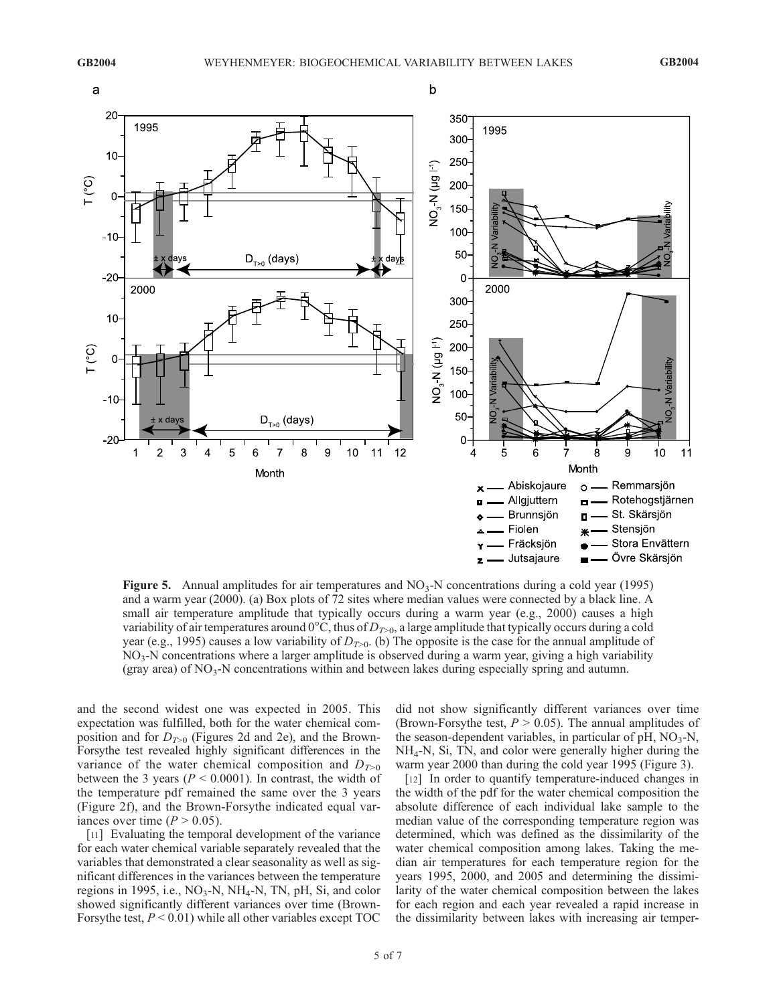

Figure 5. Annual amplitudes for air temperatures and  $NO<sub>3</sub>-N$  concentrations during a cold year (1995) and a warm year (2000). (a) Box plots of 72 sites where median values were connected by a black line. A small air temperature amplitude that typically occurs during a warm year (e.g., 2000) causes a high variability of air temperatures around  $0^{\circ}$ C, thus of  $D_{T>0}$ , a large amplitude that typically occurs during a cold year (e.g., 1995) causes a low variability of  $D_{T>0}$ . (b) The opposite is the case for the annual amplitude of  $NO<sub>3</sub>$ -N concentrations where a larger amplitude is observed during a warm year, giving a high variability (gray area) of NO3-N concentrations within and between lakes during especially spring and autumn.

and the second widest one was expected in 2005. This expectation was fulfilled, both for the water chemical composition and for  $D_{T>0}$  (Figures 2d and 2e), and the Brown-Forsythe test revealed highly significant differences in the variance of the water chemical composition and  $D_{T>0}$ between the 3 years ( $P < 0.0001$ ). In contrast, the width of the temperature pdf remained the same over the 3 years (Figure 2f), and the Brown-Forsythe indicated equal variances over time  $(P > 0.05)$ .

[11] Evaluating the temporal development of the variance for each water chemical variable separately revealed that the variables that demonstrated a clear seasonality as well as significant differences in the variances between the temperature regions in 1995, i.e.,  $NO<sub>3</sub>-N$ ,  $NH<sub>4</sub>-N$ , TN, pH, Si, and color showed significantly different variances over time (Brown-For sy the test,  $P < 0.01$ ) while all other variables except TOC did not show significantly different variances over time (Brown-Forsythe test,  $P > 0.05$ ). The annual amplitudes of the season-dependent variables, in particular of  $pH$ ,  $NO<sub>3</sub>-N$ , NH4-N, Si, TN, and color were generally higher during the warm year 2000 than during the cold year 1995 (Figure 3).

[12] In order to quantify temperature-induced changes in the width of the pdf for the water chemical composition the absolute difference of each individual lake sample to the median value of the corresponding temperature region was determined, which was defined as the dissimilarity of the water chemical composition among lakes. Taking the median air temperatures for each temperature region for the years 1995, 2000, and 2005 and determining the dissimilarity of the water chemical composition between the lakes for each region and each year revealed a rapid increase in the dissimilarity between lakes with increasing air temper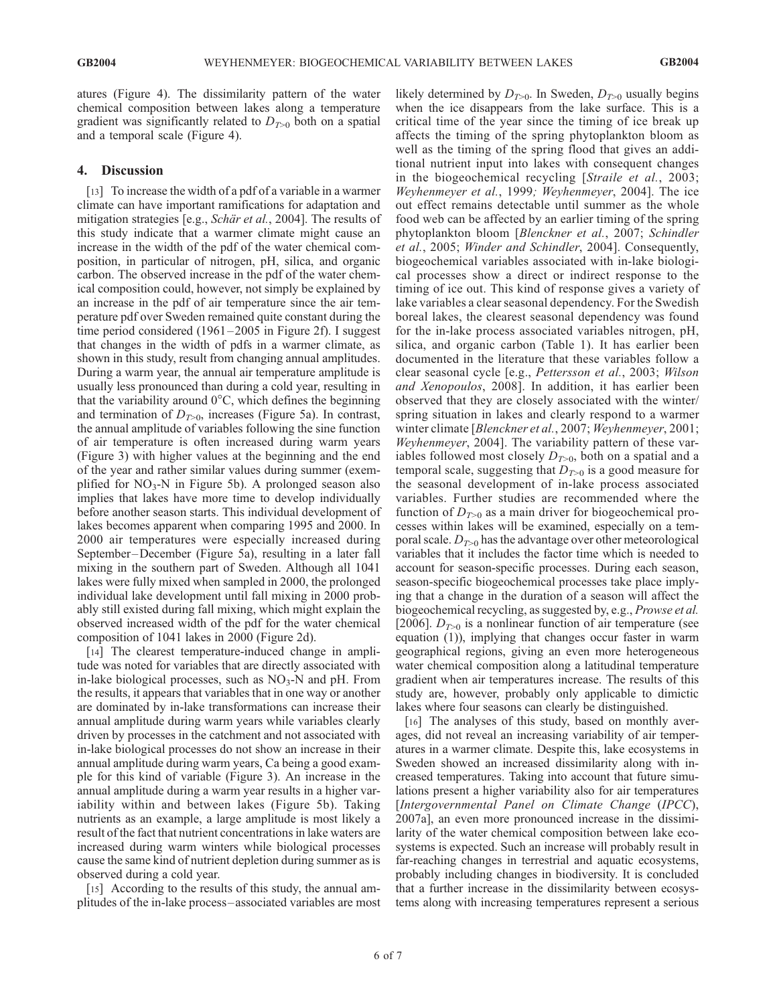atures (Figure 4). The dissimilarity pattern of the water chemical composition between lakes along a temperature gradient was significantly related to  $D_{T>0}$  both on a spatial and a temporal scale (Figure 4).

### 4. Discussion

[13] To increase the width of a pdf of a variable in a warmer climate can have important ramifications for adaptation and mitigation strategies [e.g., Schär et al., 2004]. The results of this study indicate that a warmer climate might cause an increase in the width of the pdf of the water chemical composition, in particular of nitrogen, pH, silica, and organic carbon. The observed increase in the pdf of the water chemical composition could, however, not simply be explained by an increase in the pdf of air temperature since the air temperature pdf over Sweden remained quite constant during the time period considered (1961–2005 in Figure 2f). I suggest that changes in the width of pdfs in a warmer climate, as shown in this study, result from changing annual amplitudes. During a warm year, the annual air temperature amplitude is usually less pronounced than during a cold year, resulting in that the variability around  $0^{\circ}$ C, which defines the beginning and termination of  $D_{T>0}$ , increases (Figure 5a). In contrast, the annual amplitude of variables following the sine function of air temperature is often increased during warm years (Figure 3) with higher values at the beginning and the end of the year and rather similar values during summer (exemplified for  $NO<sub>3</sub>$ -N in Figure 5b). A prolonged season also implies that lakes have more time to develop individually before another season starts. This individual development of lakes becomes apparent when comparing 1995 and 2000. In 2000 air temperatures were especially increased during September –December (Figure 5a), resulting in a later fall mixing in the southern part of Sweden. Although all 1041 lakes were fully mixed when sampled in 2000, the prolonged individual lake development until fall mixing in 2000 probably still existed during fall mixing, which might explain the observed increased width of the pdf for the water chemical composition of 1041 lakes in 2000 (Figure 2d).

[14] The clearest temperature-induced change in amplitude was noted for variables that are directly associated with in-lake biological processes, such as  $NO<sub>3</sub>-N$  and pH. From the results, it appears that variables that in one way or another are dominated by in-lake transformations can increase their annual amplitude during warm years while variables clearly driven by processes in the catchment and not associated with in-lake biological processes do not show an increase in their annual amplitude during warm years, Ca being a good example for this kind of variable (Figure 3). An increase in the annual amplitude during a warm year results in a higher variability within and between lakes (Figure 5b). Taking nutrients as an example, a large amplitude is most likely a result of the fact that nutrient concentrations in lake waters are increased during warm winters while biological processes cause the same kind of nutrient depletion during summer as is observed during a cold year.

[15] According to the results of this study, the annual amplitudes of the in-lake process–associated variables are most likely determined by  $D_{T>0}$ . In Sweden,  $D_{T>0}$  usually begins when the ice disappears from the lake surface. This is a critical time of the year since the timing of ice break up affects the timing of the spring phytoplankton bloom as well as the timing of the spring flood that gives an additional nutrient input into lakes with consequent changes in the biogeochemical recycling [Straile et al., 2003; Weyhenmeyer et al., 1999; Weyhenmeyer, 2004]. The ice out effect remains detectable until summer as the whole food web can be affected by an earlier timing of the spring phytoplankton bloom [Blenckner et al., 2007; Schindler et al., 2005; Winder and Schindler, 2004]. Consequently, biogeochemical variables associated with in-lake biological processes show a direct or indirect response to the timing of ice out. This kind of response gives a variety of lake variables a clear seasonal dependency. For the Swedish boreal lakes, the clearest seasonal dependency was found for the in-lake process associated variables nitrogen, pH, silica, and organic carbon (Table 1). It has earlier been documented in the literature that these variables follow a clear seasonal cycle [e.g., Pettersson et al., 2003; Wilson and Xenopoulos, 2008]. In addition, it has earlier been observed that they are closely associated with the winter/ spring situation in lakes and clearly respond to a warmer winter climate [*Blenckner et al.*, 2007; Weyhenmeyer, 2001; Weyhenmeyer, 2004]. The variability pattern of these variables followed most closely  $D_{T>0}$ , both on a spatial and a temporal scale, suggesting that  $D_{T>0}$  is a good measure for the seasonal development of in-lake process associated variables. Further studies are recommended where the function of  $D_{T>0}$  as a main driver for biogeochemical processes within lakes will be examined, especially on a temporal scale.  $D_{T>0}$  has the advantage over other meteorological variables that it includes the factor time which is needed to account for season-specific processes. During each season, season-specific biogeochemical processes take place implying that a change in the duration of a season will affect the biogeochemical recycling, as suggested by, e.g., Prowse et al. [2006].  $D_{T>0}$  is a nonlinear function of air temperature (see equation (1)), implying that changes occur faster in warm geographical regions, giving an even more heterogeneous water chemical composition along a latitudinal temperature gradient when air temperatures increase. The results of this study are, however, probably only applicable to dimictic lakes where four seasons can clearly be distinguished.

[16] The analyses of this study, based on monthly averages, did not reveal an increasing variability of air temperatures in a warmer climate. Despite this, lake ecosystems in Sweden showed an increased dissimilarity along with increased temperatures. Taking into account that future simulations present a higher variability also for air temperatures [Intergovernmental Panel on Climate Change (IPCC), 2007a], an even more pronounced increase in the dissimilarity of the water chemical composition between lake ecosystems is expected. Such an increase will probably result in far-reaching changes in terrestrial and aquatic ecosystems, probably including changes in biodiversity. It is concluded that a further increase in the dissimilarity between ecosystems along with increasing temperatures represent a serious